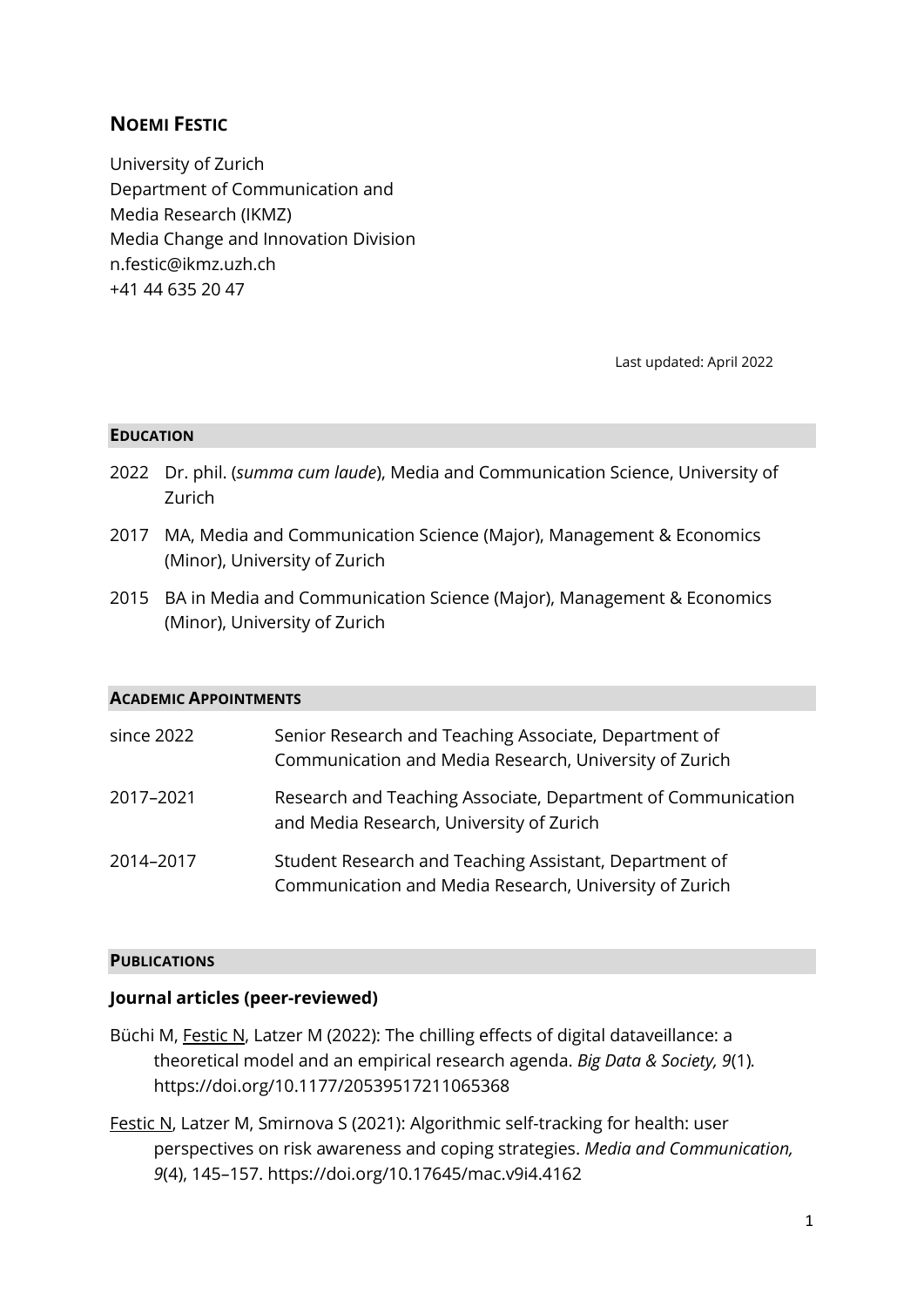# **NOEMI FESTIC**

University of Zurich Department of Communication and Media Research (IKMZ) Media Change and Innovation Division n.festic@ikmz.uzh.ch +41 44 635 20 47

Last updated: April 2022

#### **EDUCATION**

- 2022 Dr. phil. (*summa cum laude*), Media and Communication Science, University of Zurich
- 2017 MA, Media and Communication Science (Major), Management & Economics (Minor), University of Zurich
- 2015 BA in Media and Communication Science (Major), Management & Economics (Minor), University of Zurich

#### **ACADEMIC APPOINTMENTS**

| since 2022 | Senior Research and Teaching Associate, Department of<br>Communication and Media Research, University of Zurich  |
|------------|------------------------------------------------------------------------------------------------------------------|
| 2017-2021  | Research and Teaching Associate, Department of Communication<br>and Media Research, University of Zurich         |
| 2014-2017  | Student Research and Teaching Assistant, Department of<br>Communication and Media Research, University of Zurich |

#### **PUBLICATIONS**

#### **Journal articles (peer-reviewed)**

- Büchi M, Festic N, Latzer M (2022): The chilling effects of digital dataveillance: a theoretical model and an empirical research agenda. *Big Data & Society, 9*(1)*.* https://doi.org/10.1177/20539517211065368
- Festic N, Latzer M, Smirnova S (2021): Algorithmic self-tracking for health: user perspectives on risk awareness and coping strategies. *Media and Communication, 9*(4), 145–157. https://doi.org/10.17645/mac.v9i4.4162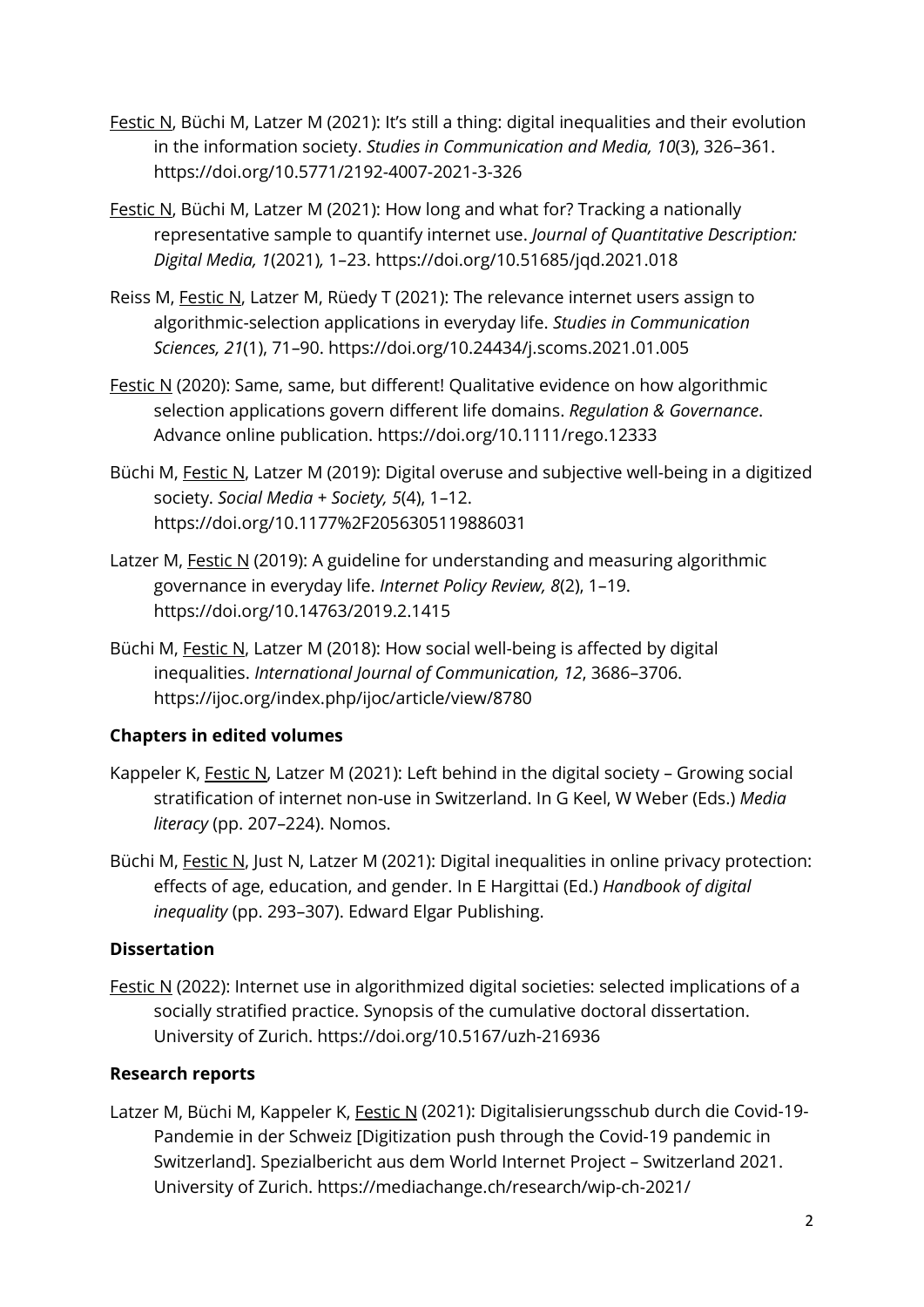- Festic N, Büchi M, Latzer M (2021): It's still a thing: digital inequalities and their evolution in the information society. *Studies in Communication and Media, 10*(3), 326–361. https://doi.org/10.5771/2192-4007-2021-3-326
- Festic N, Büchi M, Latzer M (2021): How long and what for? Tracking a nationally representative sample to quantify internet use. *Journal of Quantitative Description: Digital Media, 1*(2021)*,* 1–23. https://doi.org/10.51685/jqd.2021.018
- Reiss M, Festic N, Latzer M, Rüedy T (2021): The relevance internet users assign to algorithmic-selection applications in everyday life. *Studies in Communication Sciences, 21*(1), 71–90. https://doi.org/10.24434/j.scoms.2021.01.005
- Festic N (2020): Same, same, but different! Qualitative evidence on how algorithmic selection applications govern different life domains. *Regulation & Governance*. Advance online publication. https://doi.org/10.1111/rego.12333
- Büchi M, Festic N, Latzer M (2019): Digital overuse and subjective well-being in a digitized society. *Social Media + Society, 5*(4), 1–12. https://doi.org/10.1177%2F2056305119886031
- Latzer M, Festic N (2019): A guideline for understanding and measuring algorithmic governance in everyday life. *Internet Policy Review, 8*(2), 1–19. https://doi.org/10.14763/2019.2.1415
- Büchi M, Festic N, Latzer M (2018): How social well-being is affected by digital inequalities. *International Journal of Communication, 12*, 3686–3706. https://ijoc.org/index.php/ijoc/article/view/8780

# **Chapters in edited volumes**

- Kappeler K, Festic N, Latzer M (2021): Left behind in the digital society Growing social stratification of internet non-use in Switzerland. In G Keel, W Weber (Eds.) *Media literacy* (pp. 207–224). Nomos.
- Büchi M, Festic N, Just N, Latzer M (2021): Digital inequalities in online privacy protection: effects of age, education, and gender. In E Hargittai (Ed.) *Handbook of digital inequality* (pp. 293–307). Edward Elgar Publishing.

# **Dissertation**

Festic N (2022): Internet use in algorithmized digital societies: selected implications of a socially stratified practice. Synopsis of the cumulative doctoral dissertation. University of Zurich. https://doi.org/10.5167/uzh-216936

# **Research reports**

Latzer M, Büchi M, Kappeler K, Festic N (2021): Digitalisierungsschub durch die Covid-19-Pandemie in der Schweiz [Digitization push through the Covid-19 pandemic in Switzerland]. Spezialbericht aus dem World Internet Project – Switzerland 2021. University of Zurich. https://mediachange.ch/research/wip-ch-2021/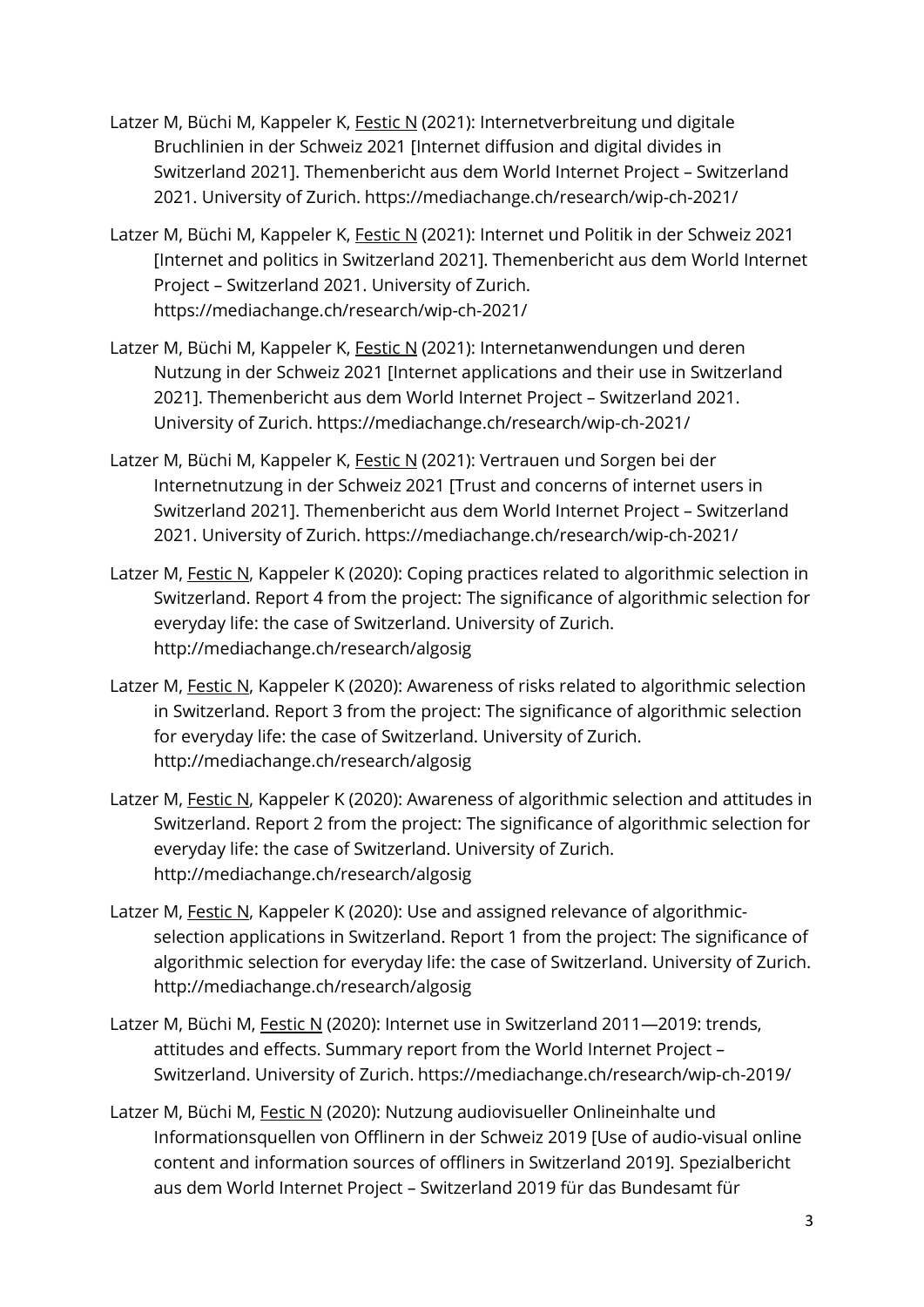- Latzer M, Büchi M, Kappeler K, Festic N (2021): Internetverbreitung und digitale Bruchlinien in der Schweiz 2021 [Internet diffusion and digital divides in Switzerland 2021]. Themenbericht aus dem World Internet Project – Switzerland 2021. University of Zurich. https://mediachange.ch/research/wip-ch-2021/
- Latzer M, Büchi M, Kappeler K, Festic N (2021): Internet und Politik in der Schweiz 2021 [Internet and politics in Switzerland 2021]. Themenbericht aus dem World Internet Project – Switzerland 2021. University of Zurich. https://mediachange.ch/research/wip-ch-2021/
- Latzer M, Büchi M, Kappeler K, Festic N (2021): Internetanwendungen und deren Nutzung in der Schweiz 2021 [Internet applications and their use in Switzerland 2021]. Themenbericht aus dem World Internet Project – Switzerland 2021. University of Zurich. https://mediachange.ch/research/wip-ch-2021/
- Latzer M, Büchi M, Kappeler K, Festic N (2021): Vertrauen und Sorgen bei der Internetnutzung in der Schweiz 2021 [Trust and concerns of internet users in Switzerland 2021]. Themenbericht aus dem World Internet Project – Switzerland 2021. University of Zurich. https://mediachange.ch/research/wip-ch-2021/
- Latzer M, Festic N, Kappeler K (2020): Coping practices related to algorithmic selection in Switzerland. Report 4 from the project: The significance of algorithmic selection for everyday life: the case of Switzerland. University of Zurich. http://mediachange.ch/research/algosig
- Latzer M, Festic N, Kappeler K (2020): Awareness of risks related to algorithmic selection in Switzerland. Report 3 from the project: The significance of algorithmic selection for everyday life: the case of Switzerland. University of Zurich. http://mediachange.ch/research/algosig
- Latzer M, Festic N, Kappeler K (2020): Awareness of algorithmic selection and attitudes in Switzerland. Report 2 from the project: The significance of algorithmic selection for everyday life: the case of Switzerland. University of Zurich. http://mediachange.ch/research/algosig
- Latzer M, Festic N, Kappeler K (2020): Use and assigned relevance of algorithmicselection applications in Switzerland. Report 1 from the project: The significance of algorithmic selection for everyday life: the case of Switzerland. University of Zurich. http://mediachange.ch/research/algosig
- Latzer M, Büchi M, Festic N (2020): Internet use in Switzerland 2011-2019: trends, attitudes and effects. Summary report from the World Internet Project – Switzerland. University of Zurich. https://mediachange.ch/research/wip-ch-2019/
- Latzer M, Büchi M, Festic N (2020): Nutzung audiovisueller Onlineinhalte und Informationsquellen von Offlinern in der Schweiz 2019 [Use of audio-visual online content and information sources of offliners in Switzerland 2019]. Spezialbericht aus dem World Internet Project – Switzerland 2019 für das Bundesamt für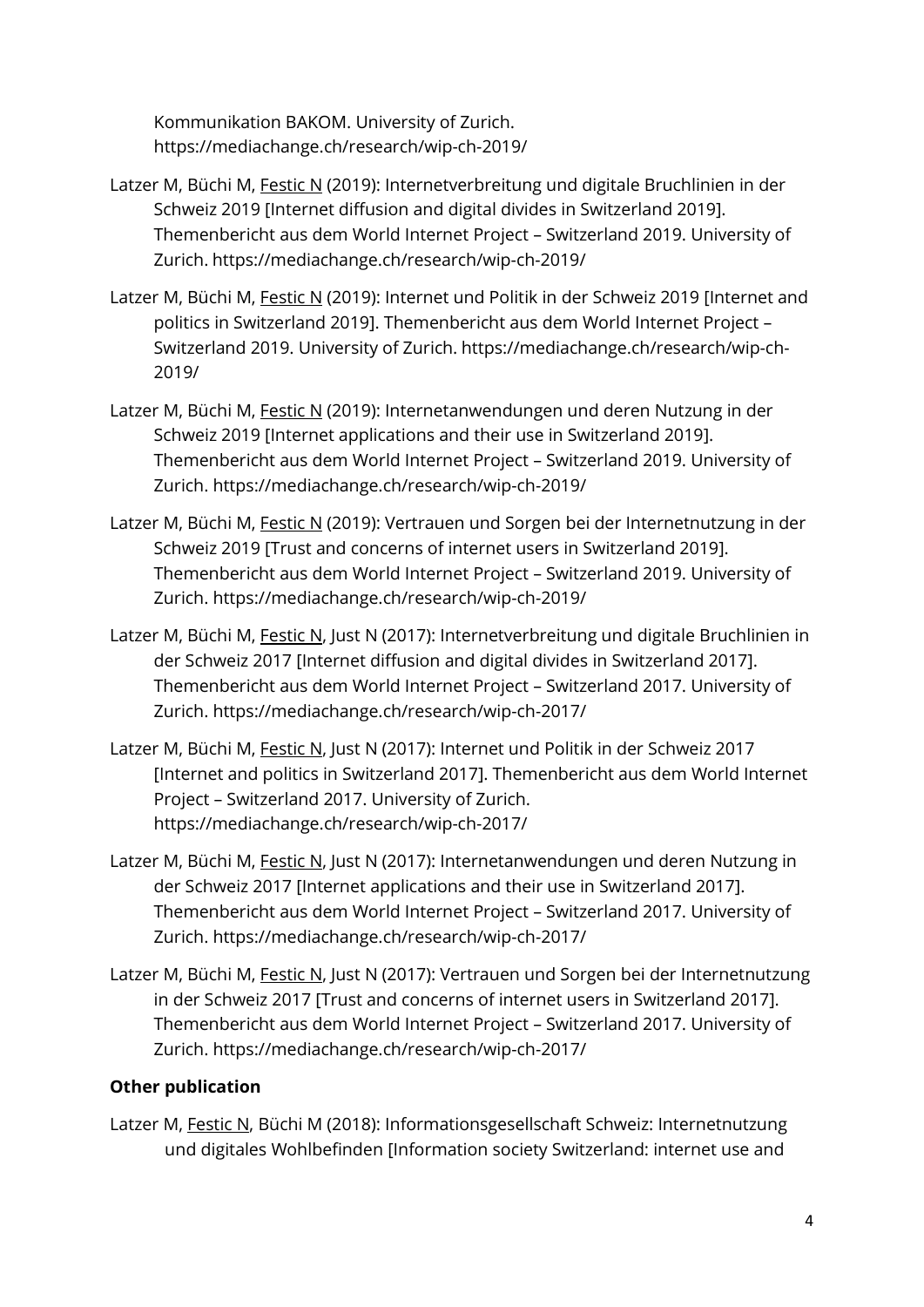Kommunikation BAKOM. University of Zurich. https://mediachange.ch/research/wip-ch-2019/

- Latzer M, Büchi M, Festic N (2019): Internetverbreitung und digitale Bruchlinien in der Schweiz 2019 [Internet diffusion and digital divides in Switzerland 2019]. Themenbericht aus dem World Internet Project – Switzerland 2019. University of Zurich. https://mediachange.ch/research/wip-ch-2019/
- Latzer M, Büchi M, Festic N (2019): Internet und Politik in der Schweiz 2019 [Internet and politics in Switzerland 2019]. Themenbericht aus dem World Internet Project – Switzerland 2019. University of Zurich. https://mediachange.ch/research/wip-ch-2019/
- Latzer M, Büchi M, Festic N (2019): Internetanwendungen und deren Nutzung in der Schweiz 2019 [Internet applications and their use in Switzerland 2019]. Themenbericht aus dem World Internet Project – Switzerland 2019. University of Zurich. https://mediachange.ch/research/wip-ch-2019/
- Latzer M, Büchi M, Festic N (2019): Vertrauen und Sorgen bei der Internetnutzung in der Schweiz 2019 [Trust and concerns of internet users in Switzerland 2019]. Themenbericht aus dem World Internet Project – Switzerland 2019. University of Zurich. https://mediachange.ch/research/wip-ch-2019/
- Latzer M, Büchi M, Festic N, Just N (2017): Internetverbreitung und digitale Bruchlinien in der Schweiz 2017 [Internet diffusion and digital divides in Switzerland 2017]. Themenbericht aus dem World Internet Project – Switzerland 2017. University of Zurich. https://mediachange.ch/research/wip-ch-2017/
- Latzer M, Büchi M, Festic N, Just N (2017): Internet und Politik in der Schweiz 2017 [Internet and politics in Switzerland 2017]. Themenbericht aus dem World Internet Project – Switzerland 2017. University of Zurich. https://mediachange.ch/research/wip-ch-2017/
- Latzer M, Büchi M, Festic N, Just N (2017): Internetanwendungen und deren Nutzung in der Schweiz 2017 [Internet applications and their use in Switzerland 2017]. Themenbericht aus dem World Internet Project – Switzerland 2017. University of Zurich. https://mediachange.ch/research/wip-ch-2017/
- Latzer M, Büchi M, Festic N, Just N (2017): Vertrauen und Sorgen bei der Internetnutzung in der Schweiz 2017 [Trust and concerns of internet users in Switzerland 2017]. Themenbericht aus dem World Internet Project – Switzerland 2017. University of Zurich. https://mediachange.ch/research/wip-ch-2017/

# **Other publication**

Latzer M, Festic N, Büchi M (2018): Informationsgesellschaft Schweiz: Internetnutzung und digitales Wohlbefinden [Information society Switzerland: internet use and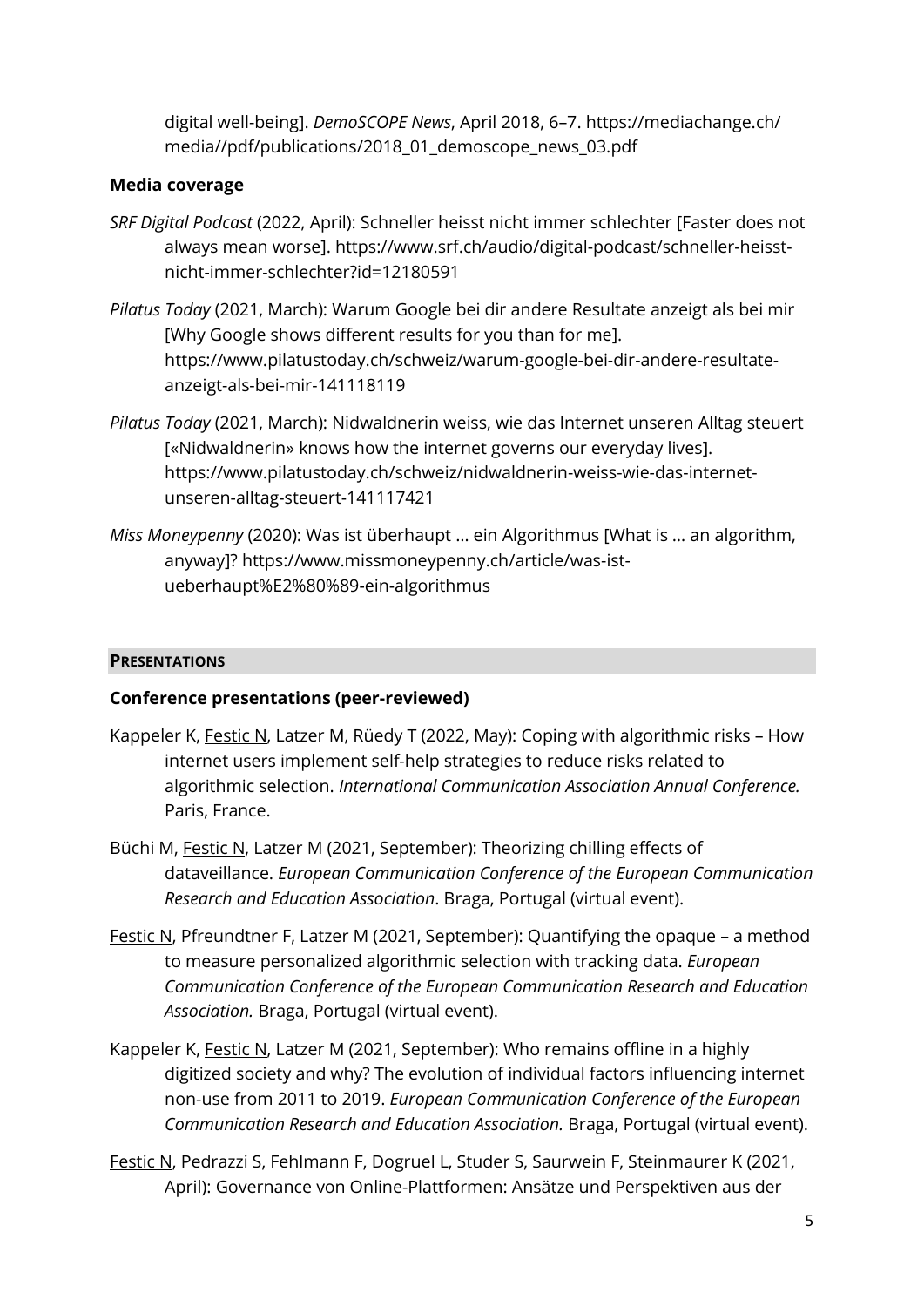digital well-being]. *DemoSCOPE News*, April 2018, 6–7. https://mediachange.ch/ media//pdf/publications/2018\_01\_demoscope\_news\_03.pdf

### **Media coverage**

- *SRF Digital Podcast* (2022, April): Schneller heisst nicht immer schlechter [Faster does not always mean worse]. https://www.srf.ch/audio/digital-podcast/schneller-heisstnicht-immer-schlechter?id=12180591
- *Pilatus Today* (2021, March): Warum Google bei dir andere Resultate anzeigt als bei mir [Why Google shows different results for you than for me]. https://www.pilatustoday.ch/schweiz/warum-google-bei-dir-andere-resultateanzeigt-als-bei-mir-141118119
- *Pilatus Today* (2021, March): Nidwaldnerin weiss, wie das Internet unseren Alltag steuert [«Nidwaldnerin» knows how the internet governs our everyday lives]. https://www.pilatustoday.ch/schweiz/nidwaldnerin-weiss-wie-das-internetunseren-alltag-steuert-141117421
- *Miss Moneypenny* (2020): Was ist überhaupt … ein Algorithmus [What is … an algorithm, anyway]? https://www.missmoneypenny.ch/article/was-istueberhaupt%E2%80%89-ein-algorithmus

### **PRESENTATIONS**

### **Conference presentations (peer-reviewed)**

- Kappeler K, Festic N, Latzer M, Rüedy T (2022, May): Coping with algorithmic risks How internet users implement self-help strategies to reduce risks related to algorithmic selection. *International Communication Association Annual Conference.* Paris, France.
- Büchi M, Festic N, Latzer M (2021, September): Theorizing chilling effects of dataveillance. *European Communication Conference of the European Communication Research and Education Association*. Braga, Portugal (virtual event).
- Festic N, Pfreundtner F, Latzer M (2021, September): Quantifying the opaque a method to measure personalized algorithmic selection with tracking data. *European Communication Conference of the European Communication Research and Education Association.* Braga, Portugal (virtual event).
- Kappeler K, Festic N, Latzer M (2021, September): Who remains offline in a highly digitized society and why? The evolution of individual factors influencing internet non-use from 2011 to 2019. *European Communication Conference of the European Communication Research and Education Association.* Braga, Portugal (virtual event).
- Festic N, Pedrazzi S, Fehlmann F, Dogruel L, Studer S, Saurwein F, Steinmaurer K (2021, April): Governance von Online-Plattformen: Ansätze und Perspektiven aus der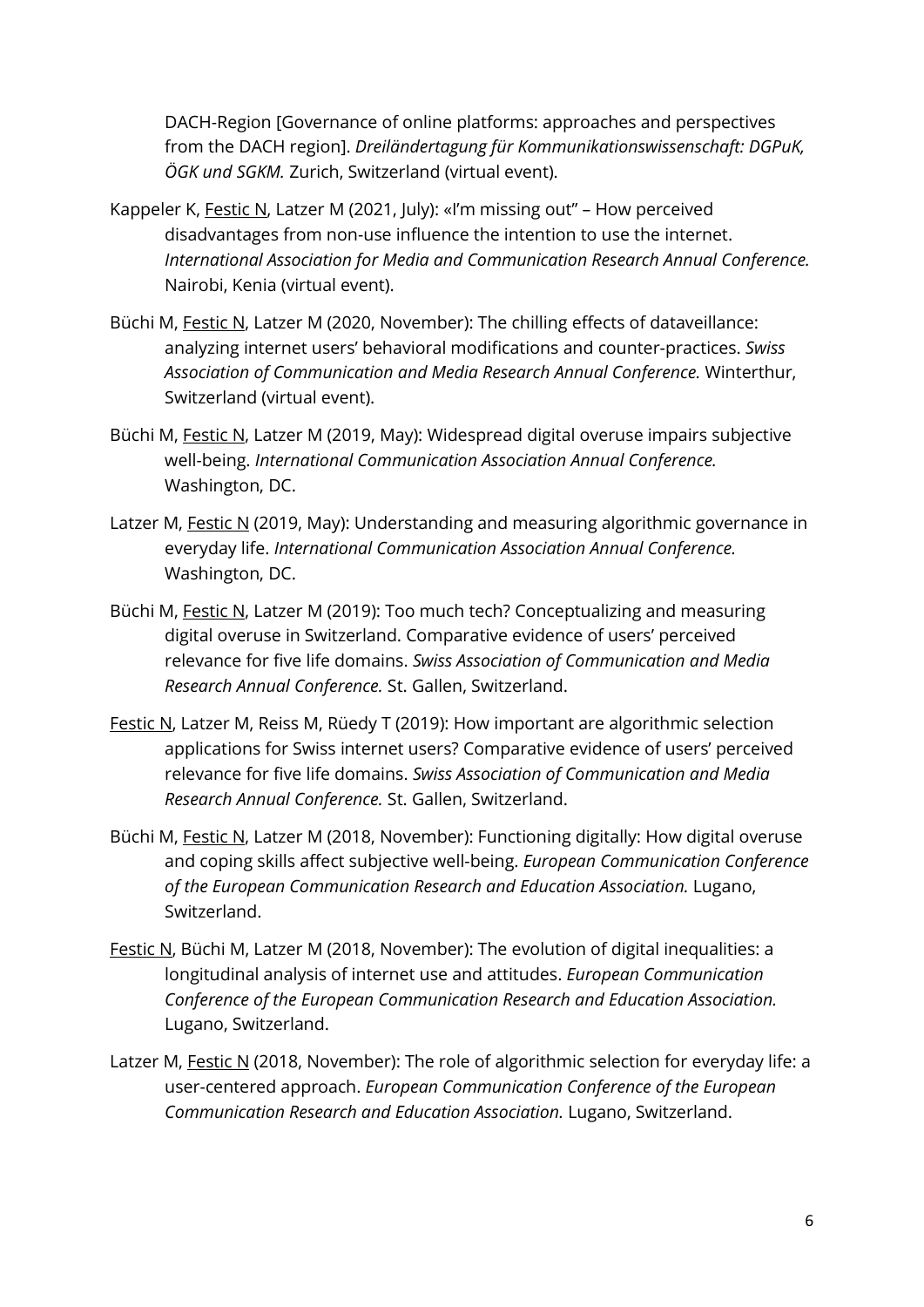DACH-Region [Governance of online platforms: approaches and perspectives from the DACH region]. *Dreiländertagung für Kommunikationswissenschaft: DGPuK, ÖGK und SGKM.* Zurich, Switzerland (virtual event).

- Kappeler K, Festic N, Latzer M (2021, July): «I'm missing out" How perceived disadvantages from non-use influence the intention to use the internet. *International Association for Media and Communication Research Annual Conference.*  Nairobi, Kenia (virtual event).
- Büchi M, Festic N, Latzer M (2020, November): The chilling effects of dataveillance: analyzing internet users' behavioral modifications and counter-practices. *Swiss Association of Communication and Media Research Annual Conference.* Winterthur, Switzerland (virtual event).
- Büchi M, Festic N, Latzer M (2019, May): Widespread digital overuse impairs subjective well-being. *International Communication Association Annual Conference.*  Washington, DC.
- Latzer M, Festic N (2019, May): Understanding and measuring algorithmic governance in everyday life. *International Communication Association Annual Conference.*  Washington, DC.
- Büchi M, Festic N, Latzer M (2019): Too much tech? Conceptualizing and measuring digital overuse in Switzerland. Comparative evidence of users' perceived relevance for five life domains. *Swiss Association of Communication and Media Research Annual Conference.* St. Gallen, Switzerland.
- Festic N, Latzer M, Reiss M, Rüedy T (2019): How important are algorithmic selection applications for Swiss internet users? Comparative evidence of users' perceived relevance for five life domains. *Swiss Association of Communication and Media Research Annual Conference.* St. Gallen, Switzerland.
- Büchi M, Festic N, Latzer M (2018, November): Functioning digitally: How digital overuse and coping skills affect subjective well-being. *European Communication Conference of the European Communication Research and Education Association.* Lugano, Switzerland.
- Festic N, Büchi M, Latzer M (2018, November): The evolution of digital inequalities: a longitudinal analysis of internet use and attitudes. *European Communication Conference of the European Communication Research and Education Association.*  Lugano, Switzerland.
- Latzer M, Festic N (2018, November): The role of algorithmic selection for everyday life: a user-centered approach. *European Communication Conference of the European Communication Research and Education Association.* Lugano, Switzerland.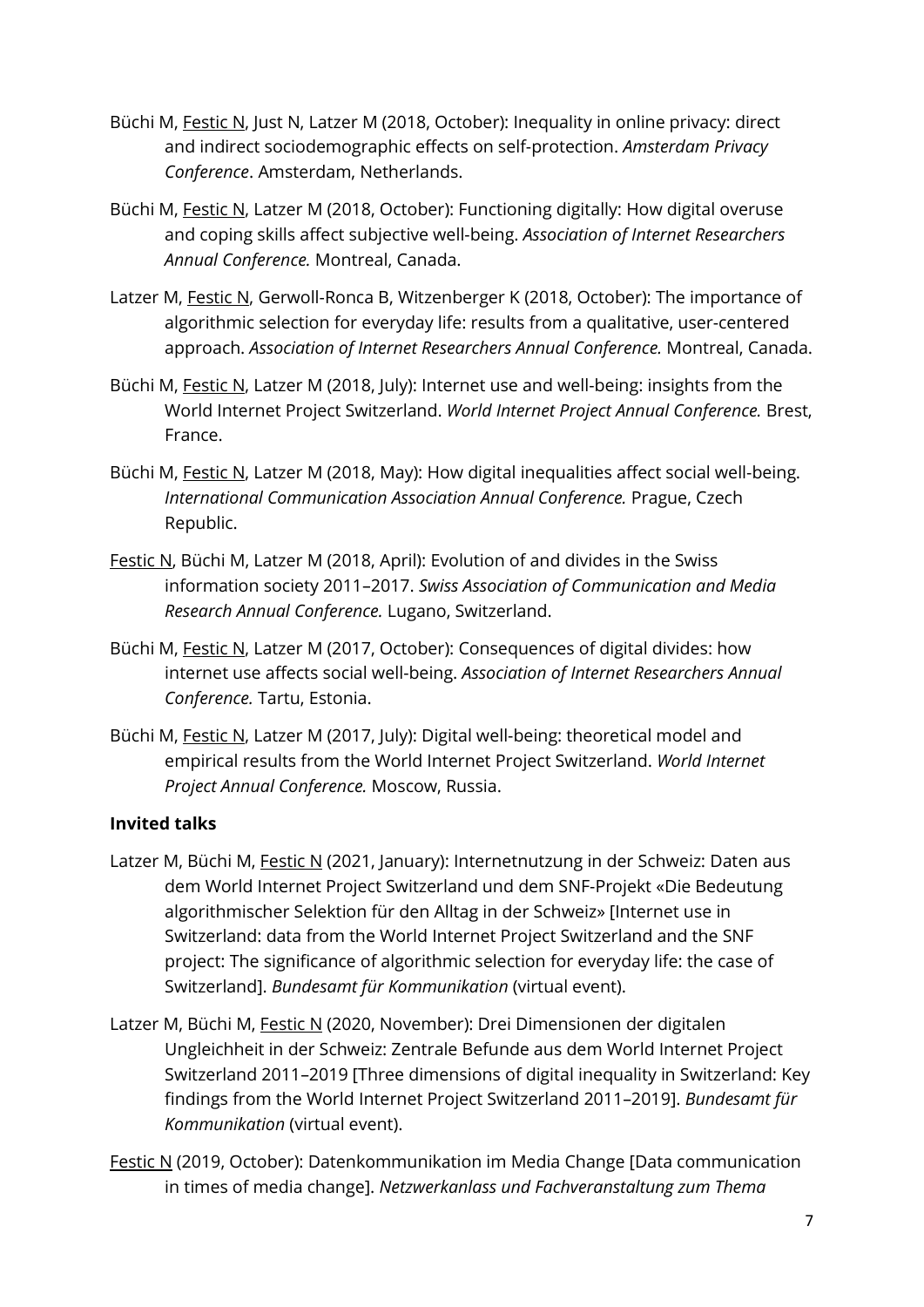- Büchi M, Festic N, Just N, Latzer M (2018, October): Inequality in online privacy: direct and indirect sociodemographic effects on self-protection. *Amsterdam Privacy Conference*. Amsterdam, Netherlands.
- Büchi M, Festic N, Latzer M (2018, October): Functioning digitally: How digital overuse and coping skills affect subjective well-being. *Association of Internet Researchers Annual Conference.* Montreal, Canada.
- Latzer M, Festic N, Gerwoll-Ronca B, Witzenberger K (2018, October): The importance of algorithmic selection for everyday life: results from a qualitative, user-centered approach. *Association of Internet Researchers Annual Conference.* Montreal, Canada.
- Büchi M, Festic N, Latzer M (2018, July): Internet use and well-being: insights from the World Internet Project Switzerland. *World Internet Project Annual Conference.* Brest, France.
- Büchi M, Festic N, Latzer M (2018, May): How digital inequalities affect social well-being. *International Communication Association Annual Conference.* Prague, Czech Republic.
- Festic N, Büchi M, Latzer M (2018, April): Evolution of and divides in the Swiss information society 2011–2017. *Swiss Association of Communication and Media Research Annual Conference.* Lugano, Switzerland.
- Büchi M, Festic N, Latzer M (2017, October): Consequences of digital divides: how internet use affects social well-being. *Association of Internet Researchers Annual Conference.* Tartu, Estonia.
- Büchi M, Festic N, Latzer M (2017, July): Digital well-being: theoretical model and empirical results from the World Internet Project Switzerland. *World Internet Project Annual Conference.* Moscow, Russia.

## **Invited talks**

- Latzer M, Büchi M, Festic N (2021, January): Internetnutzung in der Schweiz: Daten aus dem World Internet Project Switzerland und dem SNF-Projekt «Die Bedeutung algorithmischer Selektion für den Alltag in der Schweiz» [Internet use in Switzerland: data from the World Internet Project Switzerland and the SNF project: The significance of algorithmic selection for everyday life: the case of Switzerland]. *Bundesamt für Kommunikation* (virtual event).
- Latzer M, Büchi M, Festic N (2020, November): Drei Dimensionen der digitalen Ungleichheit in der Schweiz: Zentrale Befunde aus dem World Internet Project Switzerland 2011–2019 [Three dimensions of digital inequality in Switzerland: Key findings from the World Internet Project Switzerland 2011–2019]. *Bundesamt für Kommunikation* (virtual event).
- Festic N (2019, October): Datenkommunikation im Media Change [Data communication in times of media change]. *Netzwerkanlass und Fachveranstaltung zum Thema*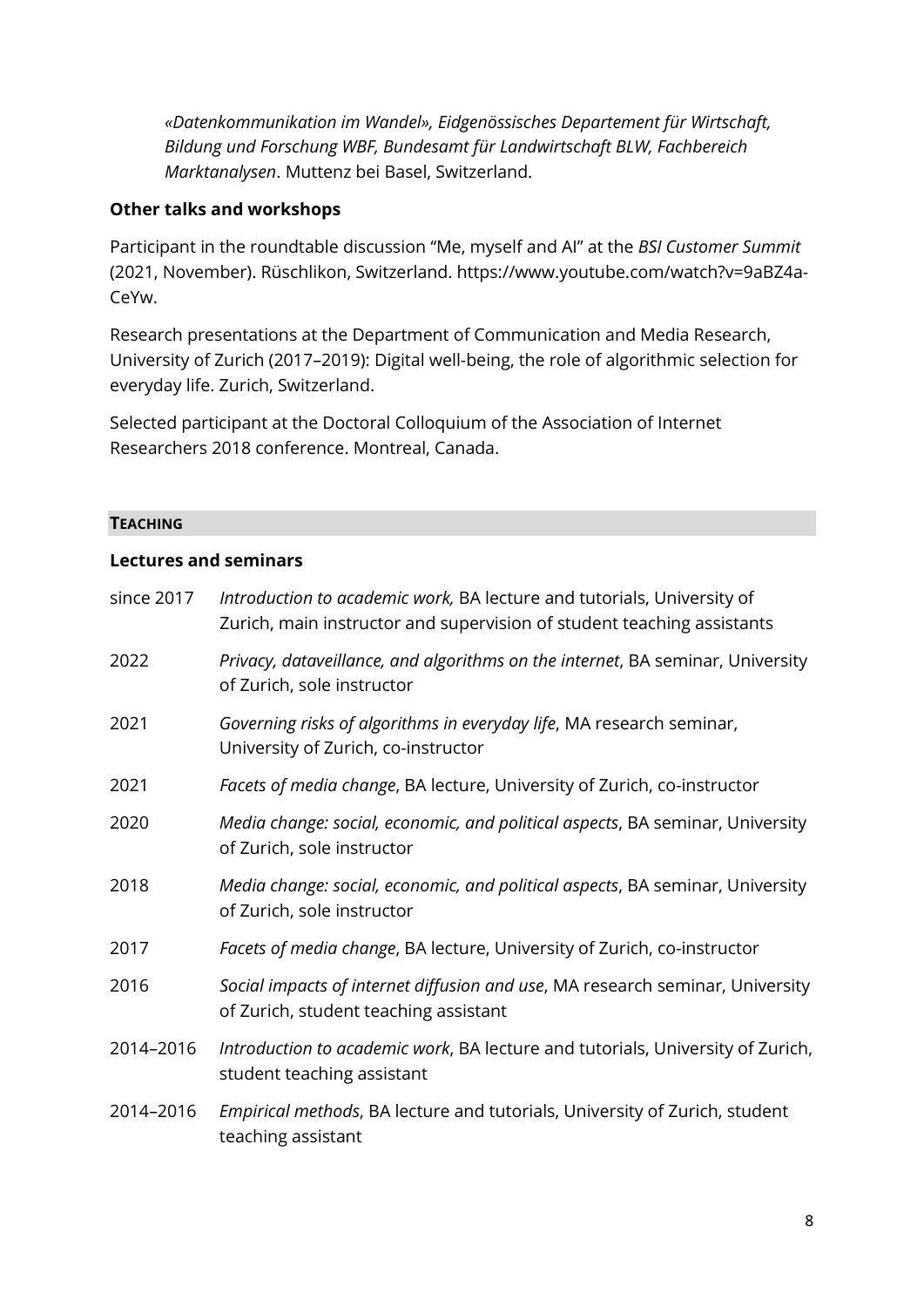*«Datenkommunikation im Wandel», Eidgenössisches Departement für Wirtschaft, Bildung und Forschung WBF, Bundesamt für Landwirtschaft BLW, Fachbereich Marktanalysen*. Muttenz bei Basel, Switzerland.

### **Other talks and workshops**

Participant in the roundtable discussion "Me, myself and AI" at the *BSI Customer Summit* (2021, November). Rüschlikon, Switzerland. https://www.youtube.com/watch?v=9aBZ4a-CeYw.

Research presentations at the Department of Communication and Media Research, University of Zurich (2017–2019): Digital well-being, the role of algorithmic selection for everyday life. Zurich, Switzerland.

Selected participant at the Doctoral Colloquium of the Association of Internet Researchers 2018 conference. Montreal, Canada.

### **TEACHING**

### **Lectures and seminars**

| since 2017 | Introduction to academic work, BA lecture and tutorials, University of<br>Zurich, main instructor and supervision of student teaching assistants |
|------------|--------------------------------------------------------------------------------------------------------------------------------------------------|
| 2022       | Privacy, dataveillance, and algorithms on the internet, BA seminar, University<br>of Zurich, sole instructor                                     |
| 2021       | Governing risks of algorithms in everyday life, MA research seminar,<br>University of Zurich, co-instructor                                      |
| 2021       | Facets of media change, BA lecture, University of Zurich, co-instructor                                                                          |
| 2020       | Media change: social, economic, and political aspects, BA seminar, University<br>of Zurich, sole instructor                                      |
| 2018       | Media change: social, economic, and political aspects, BA seminar, University<br>of Zurich, sole instructor                                      |
| 2017       | Facets of media change, BA lecture, University of Zurich, co-instructor                                                                          |
| 2016       | Social impacts of internet diffusion and use, MA research seminar, University<br>of Zurich, student teaching assistant                           |
| 2014-2016  | Introduction to academic work, BA lecture and tutorials, University of Zurich,<br>student teaching assistant                                     |
| 2014-2016  | Empirical methods, BA lecture and tutorials, University of Zurich, student<br>teaching assistant                                                 |